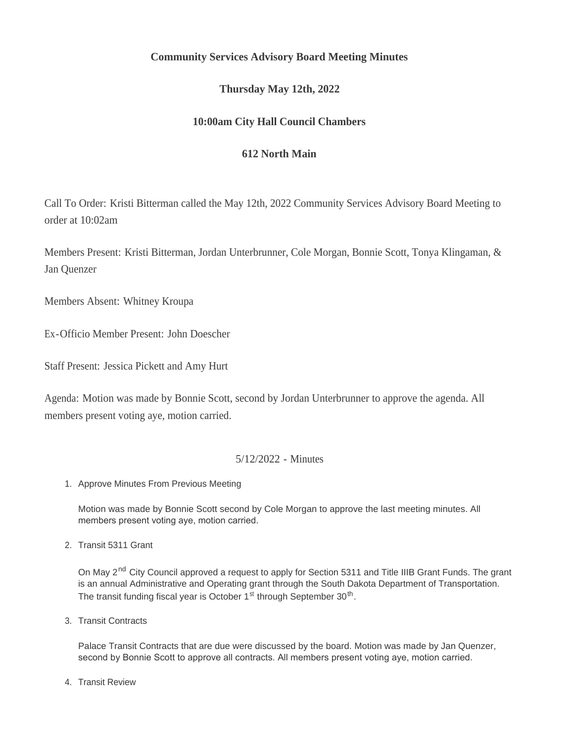# **Community Services Advisory Board Meeting Minutes**

# **Thursday May 12th, 2022**

# **10:00am City Hall Council Chambers**

## **612 North Main**

Call To Order: Kristi Bitterman called the May 12th, 2022 Community Services Advisory Board Meeting to order at 10:02am

Members Present: Kristi Bitterman, Jordan Unterbrunner, Cole Morgan, Bonnie Scott, Tonya Klingaman, & Jan Quenzer

Members Absent: Whitney Kroupa

Ex-Officio Member Present: John Doescher

Staff Present: Jessica Pickett and Amy Hurt

Agenda: Motion was made by Bonnie Scott, second by Jordan Unterbrunner to approve the agenda. All members present voting aye, motion carried.

### 5/12/2022 - Minutes

1. Approve Minutes From Previous Meeting

Motion was made by Bonnie Scott second by Cole Morgan to approve the last meeting minutes. All members present voting aye, motion carried.

2. Transit 5311 Grant

On May 2<sup>nd</sup> City Council approved a request to apply for Section 5311 and Title IIIB Grant Funds. The grant is an annual Administrative and Operating grant through the South Dakota Department of Transportation. The transit funding fiscal year is October 1<sup>st</sup> through September  $30<sup>th</sup>$ .

3. Transit Contracts

Palace Transit Contracts that are due were discussed by the board. Motion was made by Jan Quenzer, second by Bonnie Scott to approve all contracts. All members present voting aye, motion carried.

4. Transit Review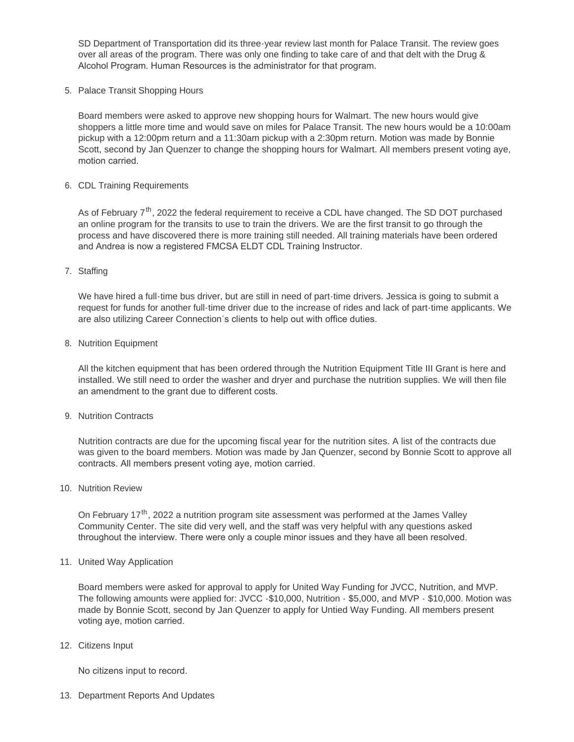SD Department of Transportation did its three-year review last month for Palace Transit. The review goes over all areas of the program. There was only one finding to take care of and that delt with the Drug & Alcohol Program. Human Resources is the administrator for that program.

5. Palace Transit Shopping Hours

Board members were asked to approve new shopping hours for Walmart. The new hours would give shoppers a little more time and would save on miles for Palace Transit. The new hours would be a 10:00am pickup with a 12:00pm return and a 11:30am pickup with a 2:30pm return. Motion was made by Bonnie Scott, second by Jan Quenzer to change the shopping hours for Walmart. All members present voting aye, motion carried.

6. CDL Training Requirements

As of February 7<sup>th</sup>, 2022 the federal requirement to receive a CDL have changed. The SD DOT purchased an online program for the transits to use to train the drivers. We are the first transit to go through the process and have discovered there is more training still needed. All training materials have been ordered and Andrea is now a registered FMCSA ELDT CDL Training Instructor.

### 7. Staffing

We have hired a full-time bus driver, but are still in need of part-time drivers. Jessica is going to submit a request for funds for another full-time driver due to the increase of rides and lack of part-time applicants. We are also utilizing Career Connection's clients to help out with office duties.

#### 8. Nutrition Equipment

All the kitchen equipment that has been ordered through the Nutrition Equipment Title III Grant is here and installed. We still need to order the washer and dryer and purchase the nutrition supplies. We will then file an amendment to the grant due to different costs.

#### 9. Nutrition Contracts

Nutrition contracts are due for the upcoming fiscal year for the nutrition sites. A list of the contracts due was given to the board members. Motion was made by Jan Quenzer, second by Bonnie Scott to approve all contracts. All members present voting aye, motion carried.

10. Nutrition Review

On February 17<sup>th</sup>, 2022 a nutrition program site assessment was performed at the James Valley Community Center. The site did very well, and the staff was very helpful with any questions asked throughout the interview. There were only a couple minor issues and they have all been resolved.

#### 11. United Way Application

Board members were asked for approval to apply for United Way Funding for JVCC, Nutrition, and MVP. The following amounts were applied for: JVCC -\$10,000, Nutrition - \$5,000, and MVP - \$10,000. Motion was made by Bonnie Scott, second by Jan Quenzer to apply for Untied Way Funding. All members present voting aye, motion carried.

12. Citizens Input

No citizens input to record.

13. Department Reports And Updates